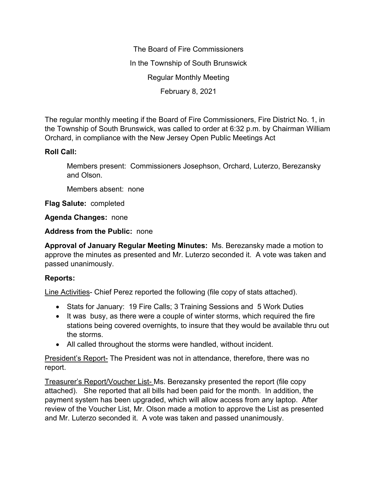The Board of Fire Commissioners In the Township of South Brunswick Regular Monthly Meeting February 8, 2021

The regular monthly meeting if the Board of Fire Commissioners, Fire District No. 1, in the Township of South Brunswick, was called to order at 6:32 p.m. by Chairman William Orchard, in compliance with the New Jersey Open Public Meetings Act

## **Roll Call:**

Members present: Commissioners Josephson, Orchard, Luterzo, Berezansky and Olson.

Members absent: none

**Flag Salute:** completed

**Agenda Changes:** none

**Address from the Public:** none

**Approval of January Regular Meeting Minutes:** Ms. Berezansky made a motion to approve the minutes as presented and Mr. Luterzo seconded it. A vote was taken and passed unanimously.

## **Reports:**

Line Activities- Chief Perez reported the following (file copy of stats attached).

- Stats for January: 19 Fire Calls; 3 Training Sessions and 5 Work Duties
- It was busy, as there were a couple of winter storms, which required the fire stations being covered overnights, to insure that they would be available thru out the storms.
- All called throughout the storms were handled, without incident.

President's Report- The President was not in attendance, therefore, there was no report.

Treasurer's Report/Voucher List- Ms. Berezansky presented the report (file copy attached). She reported that all bills had been paid for the month. In addition, the payment system has been upgraded, which will allow access from any laptop. After review of the Voucher List, Mr. Olson made a motion to approve the List as presented and Mr. Luterzo seconded it. A vote was taken and passed unanimously.